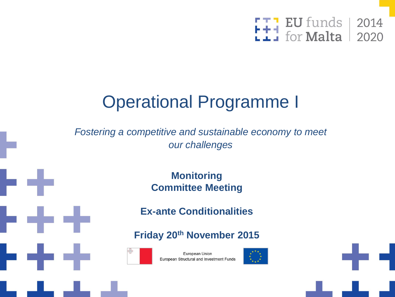

## Operational Programme I

*Fostering a competitive and sustainable economy to meet our challenges*

> **Monitoring Committee Meeting**

**Ex-ante Conditionalities**

**Friday 20th November 2015**



European Union European Structural and Investment Funds



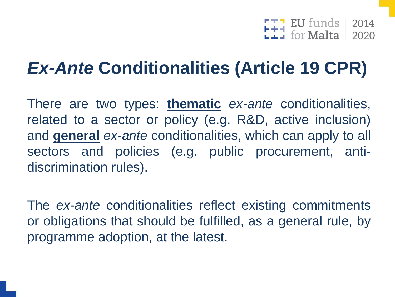$\begin{array}{|c|c|c|c|}\n\hline\n\textbf{I} & \textbf{EU}\text{ funds} & 2014 \\
\hline\n\textbf{I} & \text{for Malta} & 2020 \\
\hline\n\end{array}$ 

## *Ex-Ante* **Conditionalities (Article 19 CPR)**

There are two types: **thematic** *ex-ante* conditionalities, related to a sector or policy (e.g. R&D, active inclusion) and **general** *ex-ante* conditionalities, which can apply to all sectors and policies (e.g. public procurement, antidiscrimination rules).

The *ex-ante* conditionalities reflect existing commitments or obligations that should be fulfilled, as a general rule, by programme adoption, at the latest.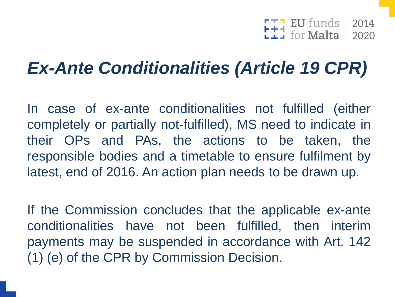$F_{\frac{1}{2}}$  EU funds | 2014<br> $F_{\frac{1}{2}}$  for Malta | 2020

## *Ex-Ante Conditionalities (Article 19 CPR)*

In case of ex-ante conditionalities not fulfilled (either completely or partially not-fulfilled), MS need to indicate in their OPs and PAs, the actions to be taken, the responsible bodies and a timetable to ensure fulfilment by latest, end of 2016. An action plan needs to be drawn up.

If the Commission concludes that the applicable ex-ante conditionalities have not been fulfilled, then interim payments may be suspended in accordance with Art. 142 (1) (e) of the CPR by Commission Decision.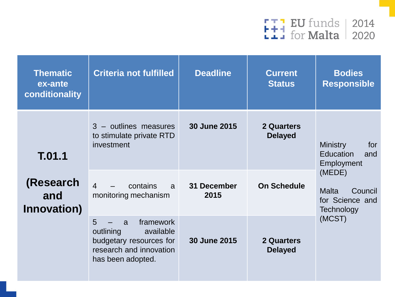

| <b>Thematic</b><br>ex-ante<br>conditionality | <b>Criteria not fulfilled</b>                                                                                            | <b>Deadline</b>     | <b>Current</b><br><b>Status</b>     | <b>Bodies</b><br><b>Responsible</b>                                |  |
|----------------------------------------------|--------------------------------------------------------------------------------------------------------------------------|---------------------|-------------------------------------|--------------------------------------------------------------------|--|
| T.01.1<br>(Research<br>and<br>Innovation)    | 3 - outlines measures<br>to stimulate private RTD<br>investment                                                          | 30 June 2015        | <b>2 Quarters</b><br><b>Delayed</b> | <b>Ministry</b><br>for<br><b>Education</b><br>and<br>Employment    |  |
|                                              | $\overline{4}$<br>contains<br>$\mathsf{a}$<br>monitoring mechanism                                                       | 31 December<br>2015 | <b>On Schedule</b>                  | (MEDE)<br><b>Malta</b><br>Council<br>for Science and<br>Technology |  |
|                                              | framework<br>5<br>a<br>outlining<br>available<br>budgetary resources for<br>research and innovation<br>has been adopted. | 30 June 2015        | <b>2 Quarters</b><br><b>Delayed</b> | (MCST)                                                             |  |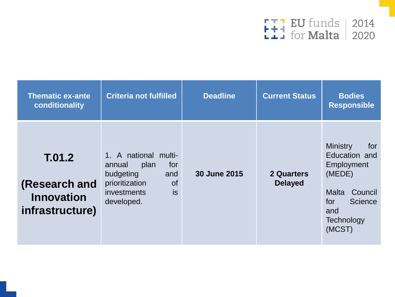

| <b>Thematic ex-ante</b><br>conditionality                       | <b>Criteria not fulfilled</b>                                                                                                              | <b>Deadline</b> | <b>Current Status</b>        | <b>Bodies</b><br><b>Responsible</b>                                                                                                         |
|-----------------------------------------------------------------|--------------------------------------------------------------------------------------------------------------------------------------------|-----------------|------------------------------|---------------------------------------------------------------------------------------------------------------------------------------------|
| T.01.2<br>(Research and<br><b>Innovation</b><br>infrastructure) | 1. A national multi-<br>for<br>plan<br>annual<br>budgeting<br>and<br>prioritization<br><b>of</b><br>is<br><i>investments</i><br>developed. | 30 June 2015    | 2 Quarters<br><b>Delayed</b> | <b>Ministry</b><br>for<br>Education and<br>Employment<br>(MEDE)<br>Council<br>Malta<br><b>Science</b><br>for<br>and<br>Technology<br>(MCST) |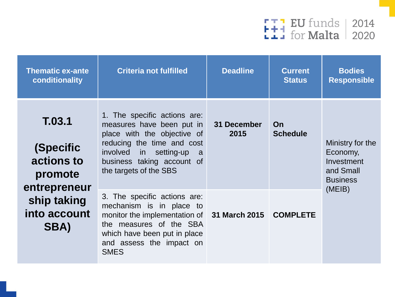

| <b>Thematic ex-ante</b><br>conditionality                                                           | <b>Criteria not fulfilled</b>                                                                                                                                                                                 | <b>Deadline</b>     | <b>Current</b><br><b>Status</b> | <b>Bodies</b><br><b>Responsible</b>                                        |
|-----------------------------------------------------------------------------------------------------|---------------------------------------------------------------------------------------------------------------------------------------------------------------------------------------------------------------|---------------------|---------------------------------|----------------------------------------------------------------------------|
| T.03.1<br>(Specific<br>actions to<br>promote<br>entrepreneur<br>ship taking<br>into account<br>SBA) | 1. The specific actions are:<br>measures have been put in<br>place with the objective of<br>reducing the time and cost<br>involved in setting-up a<br>business taking account of<br>the targets of the SBS    | 31 December<br>2015 | On<br><b>Schedule</b>           | Ministry for the<br>Economy,<br>Investment<br>and Small<br><b>Business</b> |
|                                                                                                     | 3. The specific actions are:<br>mechanism is in place to<br>monitor the implementation of 31 March 2015<br>the measures of the SBA<br>which have been put in place<br>and assess the impact on<br><b>SMES</b> |                     | <b>COMPLETE</b>                 | (MEIB)                                                                     |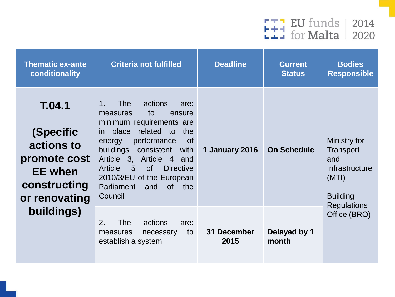

| <b>Thematic ex-ante</b><br>conditionality                                                            | <b>Criteria not fulfilled</b>                                                                                                                                                                                                                                                                                                                                                             | <b>Deadline</b>     | <b>Current</b><br><b>Status</b> | <b>Bodies</b><br><b>Responsible</b>                                            |
|------------------------------------------------------------------------------------------------------|-------------------------------------------------------------------------------------------------------------------------------------------------------------------------------------------------------------------------------------------------------------------------------------------------------------------------------------------------------------------------------------------|---------------------|---------------------------------|--------------------------------------------------------------------------------|
| T.04.1<br>(Specific<br>actions to<br>promote cost<br><b>EE</b> when<br>constructing<br>or renovating | <b>The</b><br>actions<br>$1_{-}$<br>are:<br>to<br>measures<br>ensure<br>minimum requirements are<br>related to<br>place<br>the<br><i>in</i><br>performance<br><b>of</b><br>energy<br>buildings<br>consistent<br>with<br>Article 3, Article 4<br>and<br>$5\overline{)}$<br><b>of</b><br><b>Directive</b><br>Article<br>2010/3/EU of the European<br>Parliament<br>and<br>of the<br>Council | 1 January 2016      | <b>On Schedule</b>              | Ministry for<br>Transport<br>and<br>Infrastructure<br>(MTI)<br><b>Building</b> |
| buildings)                                                                                           | 2.<br><b>The</b><br>actions<br>are:<br>to<br>measures<br>necessary<br>establish a system                                                                                                                                                                                                                                                                                                  | 31 December<br>2015 | Delayed by 1<br>month           | <b>Regulations</b><br>Office (BRO)                                             |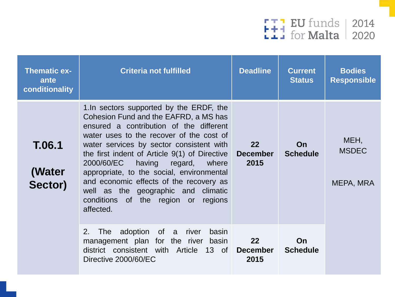

| <b>Thematic ex-</b><br>ante<br>conditionality | <b>Criteria not fulfilled</b>                                                                                                                                                                                                                                                                                                                                                                                                                                                                  | <b>Deadline</b>               | <b>Current</b><br><b>Status</b> | <b>Bodies</b><br><b>Responsible</b> |
|-----------------------------------------------|------------------------------------------------------------------------------------------------------------------------------------------------------------------------------------------------------------------------------------------------------------------------------------------------------------------------------------------------------------------------------------------------------------------------------------------------------------------------------------------------|-------------------------------|---------------------------------|-------------------------------------|
| T.06.1<br>(Water<br>Sector)                   | 1. In sectors supported by the ERDF, the<br>Cohesion Fund and the EAFRD, a MS has<br>ensured a contribution of the different<br>water uses to the recover of the cost of<br>water services by sector consistent with<br>the first indent of Article 9(1) of Directive<br>having regard, where<br>2000/60/EC<br>appropriate, to the social, environmental<br>and economic effects of the recovery as<br>well as the geographic and climatic<br>conditions of the region or regions<br>affected. | 22<br><b>December</b><br>2015 | On<br><b>Schedule</b>           | MEH,<br><b>MSDEC</b><br>MEPA, MRA   |
|                                               | adoption of a river<br>2.<br>basin<br>The<br>management plan for the river<br>basin<br>district consistent with Article 13 of<br>Directive 2000/60/EC                                                                                                                                                                                                                                                                                                                                          | 22<br><b>December</b><br>2015 | On<br><b>Schedule</b>           |                                     |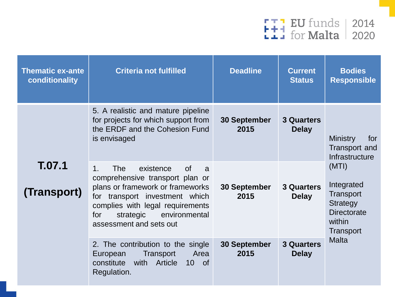

| <b>Thematic ex-ante</b><br>conditionality | <b>Criteria not fulfilled</b>                                                                                                                                                                                                                                     | <b>Deadline</b>                                           | <b>Current</b><br><b>Status</b>                                                                  | <b>Bodies</b><br><b>Responsible</b>                              |
|-------------------------------------------|-------------------------------------------------------------------------------------------------------------------------------------------------------------------------------------------------------------------------------------------------------------------|-----------------------------------------------------------|--------------------------------------------------------------------------------------------------|------------------------------------------------------------------|
|                                           | 5. A realistic and mature pipeline<br>for projects for which support from<br>the ERDF and the Cohesion Fund<br>is envisaged                                                                                                                                       | <b>30 September</b><br>2015                               | <b>3 Quarters</b><br><b>Delay</b>                                                                | <b>Ministry</b><br>for<br><b>Transport and</b><br>Infrastructure |
| T.07.1<br>(Transport)                     | 1 <sub>1</sub><br><b>The</b><br>of<br>existence<br>a<br>comprehensive transport plan or<br>plans or framework or frameworks<br>for transport investment which<br>complies with legal requirements<br>for<br>strategic<br>environmental<br>assessment and sets out | 30 September<br><b>3 Quarters</b><br>2015<br><b>Delay</b> | (MTI)<br>Integrated<br>Transport<br>Strategy<br><b>Directorate</b><br>within<br><b>Transport</b> |                                                                  |
|                                           | 2. The contribution to the single<br>Area<br>European<br>Transport<br>with Article<br>constitute<br>$10$ of<br>Regulation.                                                                                                                                        | <b>30 September</b><br>2015                               | <b>3 Quarters</b><br><b>Delay</b>                                                                | <b>Malta</b>                                                     |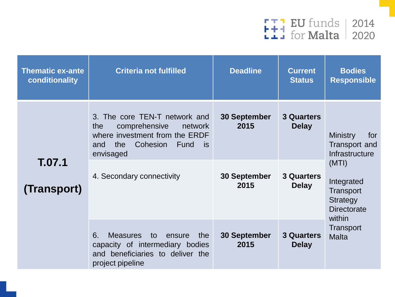

| <b>Thematic ex-ante</b><br>conditionality | <b>Criteria not fulfilled</b>                                                                                                                                                               | <b>Deadline</b>                                            | <b>Current</b><br><b>Status</b>                                        | <b>Bodies</b><br><b>Responsible</b>                                                                                                              |
|-------------------------------------------|---------------------------------------------------------------------------------------------------------------------------------------------------------------------------------------------|------------------------------------------------------------|------------------------------------------------------------------------|--------------------------------------------------------------------------------------------------------------------------------------------------|
| T.07.1<br>(Transport)                     | 3. The core TEN-T network and<br>comprehensive<br>the<br>network<br>where investment from the ERDF<br>the<br>Cohesion<br>is<br><b>Fund</b><br>and<br>envisaged<br>4. Secondary connectivity | <b>30 September</b><br>2015<br><b>30 September</b><br>2015 | <b>3 Quarters</b><br><b>Delay</b><br><b>3 Quarters</b><br><b>Delay</b> | <b>Ministry</b><br>for<br>Transport and<br>Infrastructure<br>(MTI)<br>Integrated<br>Transport<br><b>Strategy</b><br><b>Directorate</b><br>within |
|                                           | 6.<br><b>Measures</b><br>to<br>the<br>ensure<br>capacity of intermediary bodies<br>and beneficiaries to deliver the<br>project pipeline                                                     | 30 September<br>2015                                       | <b>3 Quarters</b><br><b>Delay</b>                                      | Transport<br><b>Malta</b>                                                                                                                        |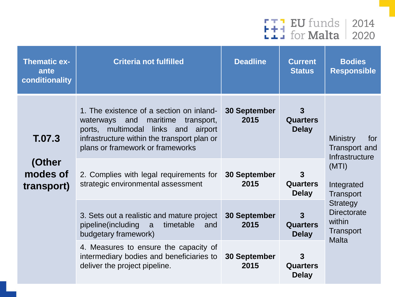

| <b>Thematic ex-</b><br>ante<br>conditionality | <b>Criteria not fulfilled</b>                                                                                                                                                                                 | <b>Deadline</b>             | <b>Current</b><br><b>Status</b>                 | <b>Bodies</b><br><b>Responsible</b>                                   |
|-----------------------------------------------|---------------------------------------------------------------------------------------------------------------------------------------------------------------------------------------------------------------|-----------------------------|-------------------------------------------------|-----------------------------------------------------------------------|
| T.07.3                                        | 1. The existence of a section on inland-<br>maritime<br>waterways and<br>transport,<br>ports, multimodal links and airport<br>infrastructure within the transport plan or<br>plans or framework or frameworks | <b>30 September</b><br>2015 | 3<br><b>Quarters</b><br><b>Delay</b>            | <b>Ministry</b><br>for<br>Transport and<br>Infrastructure             |
| (Other<br>modes of<br>transport)              | 2. Complies with legal requirements for<br>strategic environmental assessment                                                                                                                                 | 30 September<br>2015        | $\mathbf{3}$<br><b>Quarters</b><br><b>Delay</b> | (MTI)<br>Integrated<br>Transport                                      |
|                                               | 3. Sets out a realistic and mature project<br>pipeline(including<br>timetable<br>a a<br>and<br>budgetary framework)                                                                                           | 30 September<br>2015        | 3<br><b>Quarters</b><br><b>Delay</b>            | Strategy<br><b>Directorate</b><br>within<br>Transport<br><b>Malta</b> |
|                                               | 4. Measures to ensure the capacity of<br>intermediary bodies and beneficiaries to<br>deliver the project pipeline.                                                                                            | 30 September<br>2015        | $\mathbf{3}$<br><b>Quarters</b><br><b>Delay</b> |                                                                       |